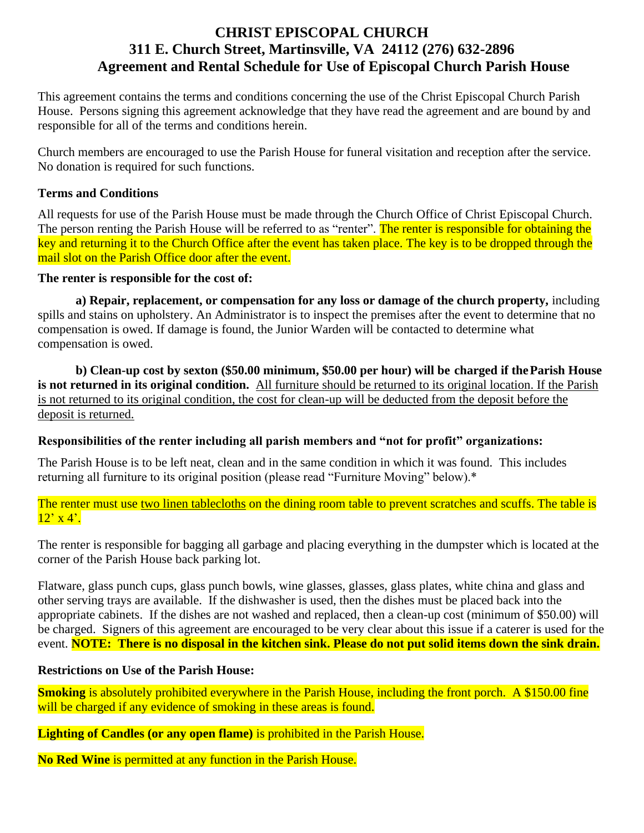## **CHRIST EPISCOPAL CHURCH 311 E. Church Street, Martinsville, VA 24112 (276) 632-2896 Agreement and Rental Schedule for Use of Episcopal Church Parish House**

This agreement contains the terms and conditions concerning the use of the Christ Episcopal Church Parish House. Persons signing this agreement acknowledge that they have read the agreement and are bound by and responsible for all of the terms and conditions herein.

Church members are encouraged to use the Parish House for funeral visitation and reception after the service. No donation is required for such functions.

#### **Terms and Conditions**

All requests for use of the Parish House must be made through the Church Office of Christ Episcopal Church. The person renting the Parish House will be referred to as "renter". The renter is responsible for obtaining the key and returning it to the Church Office after the event has taken place. The key is to be dropped through the mail slot on the Parish Office door after the event.

#### **The renter is responsible for the cost of:**

**a) Repair, replacement, or compensation for any loss or damage of the church property,** including spills and stains on upholstery. An Administrator is to inspect the premises after the event to determine that no compensation is owed. If damage is found, the Junior Warden will be contacted to determine what compensation is owed.

**b) Clean-up cost by sexton (\$50.00 minimum, \$50.00 per hour) will be charged if theParish House is not returned in its original condition.** All furniture should be returned to its original location. If the Parish is not returned to its original condition, the cost for clean-up will be deducted from the deposit before the deposit is returned.

#### **Responsibilities of the renter including all parish members and "not for profit" organizations:**

The Parish House is to be left neat, clean and in the same condition in which it was found. This includes returning all furniture to its original position (please read "Furniture Moving" below).\*

The renter must use two linen tablecloths on the dining room table to prevent scratches and scuffs. The table is  $12'$  x 4'.

The renter is responsible for bagging all garbage and placing everything in the dumpster which is located at the corner of the Parish House back parking lot.

Flatware, glass punch cups, glass punch bowls, wine glasses, glasses, glass plates, white china and glass and other serving trays are available. If the dishwasher is used, then the dishes must be placed back into the appropriate cabinets. If the dishes are not washed and replaced, then a clean-up cost (minimum of \$50.00) will be charged. Signers of this agreement are encouraged to be very clear about this issue if a caterer is used for the event. **NOTE: There is no disposal in the kitchen sink. Please do not put solid items down the sink drain.**

#### **Restrictions on Use of the Parish House:**

**Smoking** is absolutely prohibited everywhere in the Parish House, including the front porch. A \$150.00 fine will be charged if any evidence of smoking in these areas is found.

### **Lighting of Candles (or any open flame)** is prohibited in the Parish House.

**No Red Wine** is permitted at any function in the Parish House.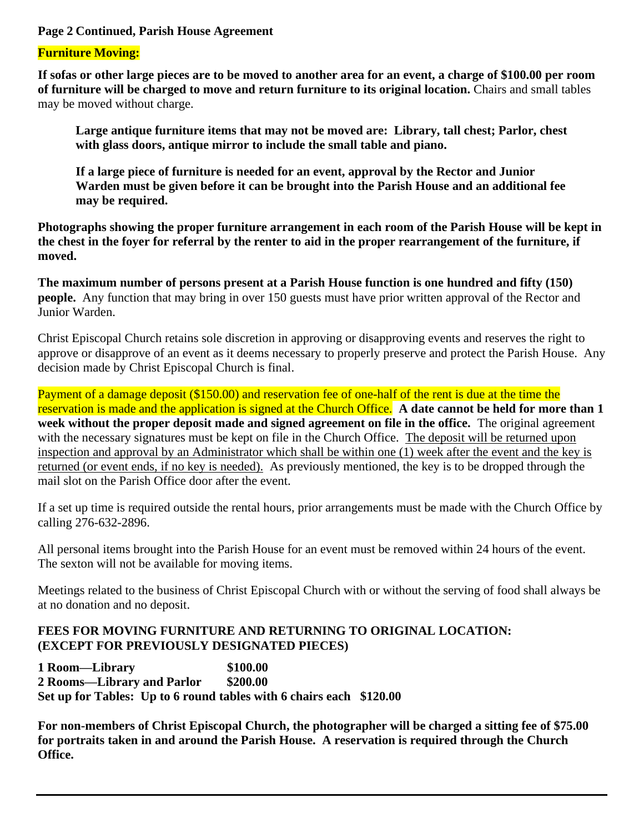#### **Page 2 Continued, Parish House Agreement**

#### **Furniture Moving:**

**If sofas or other large pieces are to be moved to another area for an event, a charge of \$100.00 per room of furniture will be charged to move and return furniture to its original location.** Chairs and small tables may be moved without charge.

**Large antique furniture items that may not be moved are: Library, tall chest; Parlor, chest with glass doors, antique mirror to include the small table and piano.**

**If a large piece of furniture is needed for an event, approval by the Rector and Junior Warden must be given before it can be brought into the Parish House and an additional fee may be required.**

**Photographs showing the proper furniture arrangement in each room of the Parish House will be kept in the chest in the foyer for referral by the renter to aid in the proper rearrangement of the furniture, if moved.**

**The maximum number of persons present at a Parish House function is one hundred and fifty (150) people.** Any function that may bring in over 150 guests must have prior written approval of the Rector and Junior Warden.

Christ Episcopal Church retains sole discretion in approving or disapproving events and reserves the right to approve or disapprove of an event as it deems necessary to properly preserve and protect the Parish House. Any decision made by Christ Episcopal Church is final.

Payment of a damage deposit (\$150.00) and reservation fee of one-half of the rent is due at the time the reservation is made and the application is signed at the Church Office. **A date cannot be held for more than 1 week without the proper deposit made and signed agreement on file in the office.** The original agreement with the necessary signatures must be kept on file in the Church Office. The deposit will be returned upon inspection and approval by an Administrator which shall be within one (1) week after the event and the key is returned (or event ends, if no key is needed). As previously mentioned, the key is to be dropped through the mail slot on the Parish Office door after the event.

If a set up time is required outside the rental hours, prior arrangements must be made with the Church Office by calling 276-632-2896.

All personal items brought into the Parish House for an event must be removed within 24 hours of the event. The sexton will not be available for moving items.

Meetings related to the business of Christ Episcopal Church with or without the serving of food shall always be at no donation and no deposit.

### **FEES FOR MOVING FURNITURE AND RETURNING TO ORIGINAL LOCATION: (EXCEPT FOR PREVIOUSLY DESIGNATED PIECES)**

**1 Room—Library \$100.00 2 Rooms—Library and Parlor \$200.00 Set up for Tables: Up to 6 round tables with 6 chairs each \$120.00**

**For non-members of Christ Episcopal Church, the photographer will be charged a sitting fee of \$75.00 for portraits taken in and around the Parish House. A reservation is required through the Church Office.**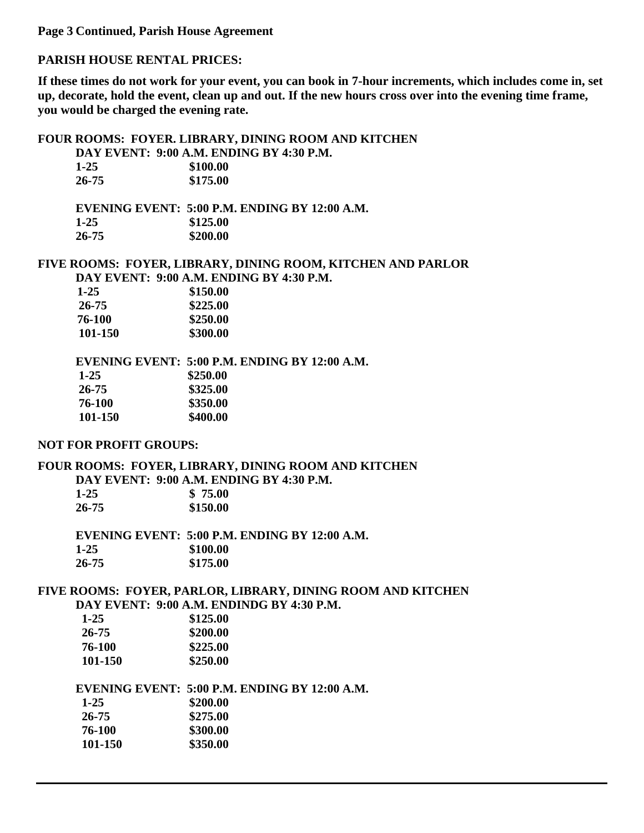**Page 3 Continued, Parish House Agreement**

#### **PARISH HOUSE RENTAL PRICES:**

**If these times do not work for your event, you can book in 7-hour increments, which includes come in, set up, decorate, hold the event, clean up and out. If the new hours cross over into the evening time frame, you would be charged the evening rate.**

#### **FOUR ROOMS: FOYER. LIBRARY, DINING ROOM AND KITCHEN**

**DAY EVENT: 9:00 A.M. ENDING BY 4:30 P.M.** 

| $1-25$    | \$100.00 |
|-----------|----------|
| $26 - 75$ | \$175.00 |

**EVENING EVENT: 5:00 P.M. ENDING BY 12:00 A.M. 1-25 \$125.00 26-75 \$200.00**

#### **FIVE ROOMS: FOYER, LIBRARY, DINING ROOM, KITCHEN AND PARLOR DAY EVENT: 9:00 A.M. ENDING BY 4:30 P.M.**

| $1 - 25$ | \$150.00 |
|----------|----------|
| 26-75    | \$225.00 |
| 76-100   | \$250.00 |
| 101-150  | \$300.00 |
|          |          |

**EVENING EVENT: 5:00 P.M. ENDING BY 12:00 A.M. 1-25** \$250.00<br>**26-75** \$325.00 **26-75 \$325.00 76-100 \$350.00 101-150 \$400.00**

#### **NOT FOR PROFIT GROUPS:**

### **FOUR ROOMS: FOYER, LIBRARY, DINING ROOM AND KITCHEN DAY EVENT: 9:00 A.M. ENDING BY 4:30 P.M.**

| 1-25  | \$75.00  |
|-------|----------|
| 26-75 | \$150.00 |

**EVENING EVENT: 5:00 P.M. ENDING BY 12:00 A.M. 1-25 \$100.00 26-75 \$175.00**

## **FIVE ROOMS: FOYER, PARLOR, LIBRARY, DINING ROOM AND KITCHEN**

**DAY EVENT: 9:00 A.M. ENDINDG BY 4:30 P.M.**

| $1 - 25$ | \$125.00 |
|----------|----------|
| 26-75    | \$200.00 |
| 76-100   | \$225.00 |
| 101-150  | \$250.00 |

#### **EVENING EVENT: 5:00 P.M. ENDING BY 12:00 A.M.**

| $1 - 25$ | \$200.00 |
|----------|----------|
| 26-75    | \$275.00 |
| 76-100   | \$300.00 |
| 101-150  | \$350.00 |